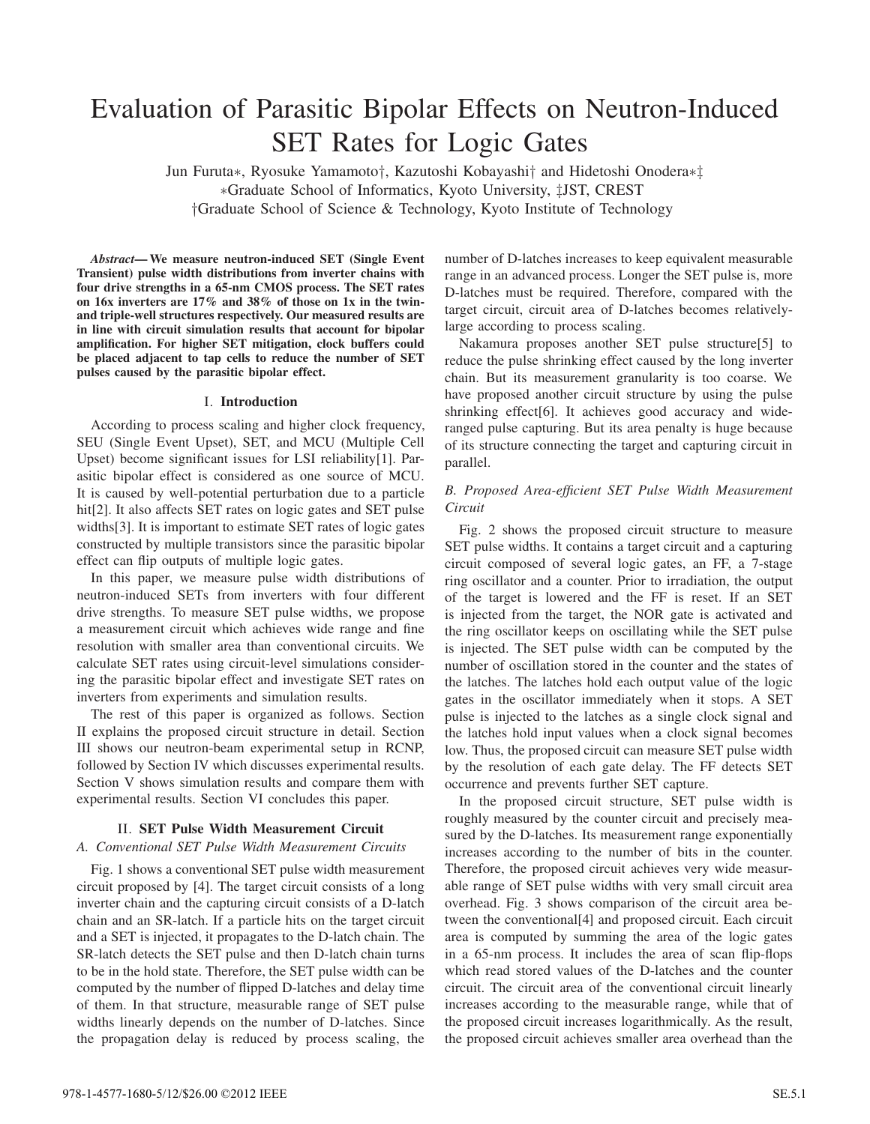# Evaluation of Parasitic Bipolar Effects on Neutron-Induced SET Rates for Logic Gates

Jun Furuta∗, Ryosuke Yamamoto†, Kazutoshi Kobayashi† and Hidetoshi Onodera∗‡ ∗Graduate School of Informatics, Kyoto University, ‡JST, CREST †Graduate School of Science & Technology, Kyoto Institute of Technology

*Abstract***— We measure neutron-induced SET (Single Event Transient) pulse width distributions from inverter chains with four drive strengths in a 65-nm CMOS process. The SET rates on 16x inverters are 17% and 38% of those on 1x in the twinand triple-well structures respectively. Our measured results are in line with circuit simulation results that account for bipolar amplification. For higher SET mitigation, clock buffers could be placed adjacent to tap cells to reduce the number of SET pulses caused by the parasitic bipolar effect.**

## I. **Introduction**

According to process scaling and higher clock frequency, SEU (Single Event Upset), SET, and MCU (Multiple Cell Upset) become significant issues for LSI reliability[1]. Parasitic bipolar effect is considered as one source of MCU. It is caused by well-potential perturbation due to a particle hit<sup>[2]</sup>. It also affects SET rates on logic gates and SET pulse widths[3]. It is important to estimate SET rates of logic gates constructed by multiple transistors since the parasitic bipolar effect can flip outputs of multiple logic gates.

In this paper, we measure pulse width distributions of neutron-induced SETs from inverters with four different drive strengths. To measure SET pulse widths, we propose a measurement circuit which achieves wide range and fine resolution with smaller area than conventional circuits. We calculate SET rates using circuit-level simulations considering the parasitic bipolar effect and investigate SET rates on inverters from experiments and simulation results.

The rest of this paper is organized as follows. Section II explains the proposed circuit structure in detail. Section III shows our neutron-beam experimental setup in RCNP, followed by Section IV which discusses experimental results. Section V shows simulation results and compare them with experimental results. Section VI concludes this paper.

# II. **SET Pulse Width Measurement Circuit**

# *A. Conventional SET Pulse Width Measurement Circuits*

Fig. 1 shows a conventional SET pulse width measurement circuit proposed by [4]. The target circuit consists of a long inverter chain and the capturing circuit consists of a D-latch chain and an SR-latch. If a particle hits on the target circuit and a SET is injected, it propagates to the D-latch chain. The SR-latch detects the SET pulse and then D-latch chain turns to be in the hold state. Therefore, the SET pulse width can be computed by the number of flipped D-latches and delay time of them. In that structure, measurable range of SET pulse widths linearly depends on the number of D-latches. Since the propagation delay is reduced by process scaling, the

number of D-latches increases to keep equivalent measurable range in an advanced process. Longer the SET pulse is, more D-latches must be required. Therefore, compared with the target circuit, circuit area of D-latches becomes relativelylarge according to process scaling.

Nakamura proposes another SET pulse structure[5] to reduce the pulse shrinking effect caused by the long inverter chain. But its measurement granularity is too coarse. We have proposed another circuit structure by using the pulse shrinking effect<sup>[6]</sup>. It achieves good accuracy and wideranged pulse capturing. But its area penalty is huge because of its structure connecting the target and capturing circuit in parallel.

# *B. Proposed Area-efficient SET Pulse Width Measurement Circuit*

Fig. 2 shows the proposed circuit structure to measure SET pulse widths. It contains a target circuit and a capturing circuit composed of several logic gates, an FF, a 7-stage ring oscillator and a counter. Prior to irradiation, the output of the target is lowered and the FF is reset. If an SET is injected from the target, the NOR gate is activated and the ring oscillator keeps on oscillating while the SET pulse is injected. The SET pulse width can be computed by the number of oscillation stored in the counter and the states of the latches. The latches hold each output value of the logic gates in the oscillator immediately when it stops. A SET pulse is injected to the latches as a single clock signal and the latches hold input values when a clock signal becomes low. Thus, the proposed circuit can measure SET pulse width by the resolution of each gate delay. The FF detects SET occurrence and prevents further SET capture.

In the proposed circuit structure, SET pulse width is roughly measured by the counter circuit and precisely measured by the D-latches. Its measurement range exponentially increases according to the number of bits in the counter. Therefore, the proposed circuit achieves very wide measurable range of SET pulse widths with very small circuit area overhead. Fig. 3 shows comparison of the circuit area between the conventional[4] and proposed circuit. Each circuit area is computed by summing the area of the logic gates in a 65-nm process. It includes the area of scan flip-flops which read stored values of the D-latches and the counter circuit. The circuit area of the conventional circuit linearly increases according to the measurable range, while that of the proposed circuit increases logarithmically. As the result, the proposed circuit achieves smaller area overhead than the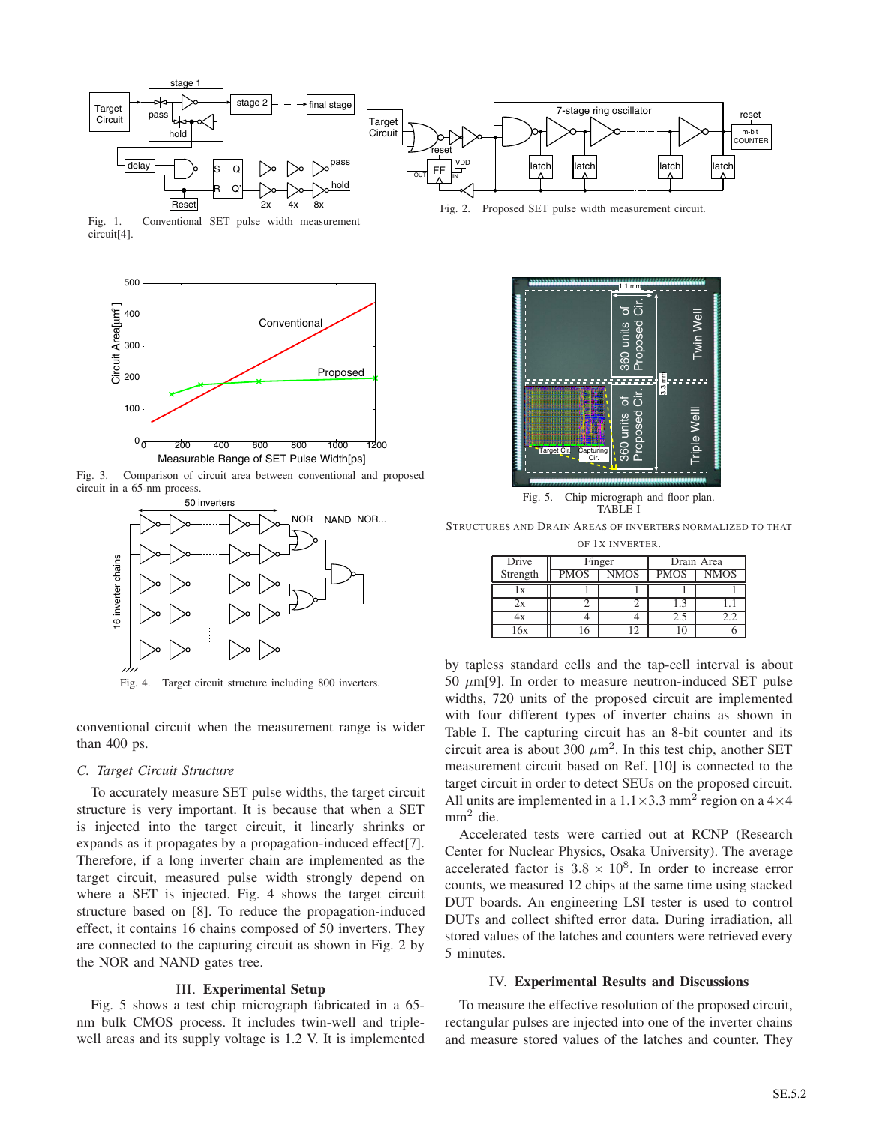



Fig. 1. Conventional SET pulse width measurement circuit[4].



Fig. 3. Comparison of circuit area between conventional and proposed circuit in a 65-nm process.



Fig. 4. Target circuit structure including 800 inverters.

conventional circuit when the measurement range is wider than 400 ps.

## *C. Target Circuit Structure*

To accurately measure SET pulse widths, the target circuit structure is very important. It is because that when a SET is injected into the target circuit, it linearly shrinks or expands as it propagates by a propagation-induced effect[7]. Therefore, if a long inverter chain are implemented as the target circuit, measured pulse width strongly depend on where a SET is injected. Fig. 4 shows the target circuit structure based on [8]. To reduce the propagation-induced effect, it contains 16 chains composed of 50 inverters. They are connected to the capturing circuit as shown in Fig. 2 by the NOR and NAND gates tree.

### III. **Experimental Setup**

Fig. 5 shows a test chip micrograph fabricated in a 65 nm bulk CMOS process. It includes twin-well and triplewell areas and its supply voltage is 1.2 V. It is implemented



Fig. 5. Chip micrograph and floor plan. TABLE I

STRUCTURES AND DRAIN AREAS OF INVERTERS NORMALIZED TO THAT OF 1X INVERTER.

| Drive    | Finger      |      | Drain Area  |             |
|----------|-------------|------|-------------|-------------|
| Strength | <b>PMOS</b> | NMOS | <b>PMOS</b> | <b>NMOS</b> |
|          |             |      |             |             |
|          |             |      | ЮÃ          |             |
|          |             |      |             |             |
|          |             |      |             |             |

by tapless standard cells and the tap-cell interval is about 50  $\mu$ m[9]. In order to measure neutron-induced SET pulse widths, 720 units of the proposed circuit are implemented with four different types of inverter chains as shown in Table I. The capturing circuit has an 8-bit counter and its circuit area is about 300  $\mu$ m<sup>2</sup>. In this test chip, another SET measurement circuit based on Ref. [10] is connected to the target circuit in order to detect SEUs on the proposed circuit. All units are implemented in a  $1.1 \times 3.3$  mm<sup>2</sup> region on a  $4 \times 4$ mm<sup>2</sup> die.

Accelerated tests were carried out at RCNP (Research Center for Nuclear Physics, Osaka University). The average accelerated factor is  $3.8 \times 10^8$ . In order to increase error counts, we measured 12 chips at the same time using stacked DUT boards. An engineering LSI tester is used to control DUTs and collect shifted error data. During irradiation, all stored values of the latches and counters were retrieved every 5 minutes.

#### IV. **Experimental Results and Discussions**

To measure the effective resolution of the proposed circuit, rectangular pulses are injected into one of the inverter chains and measure stored values of the latches and counter. They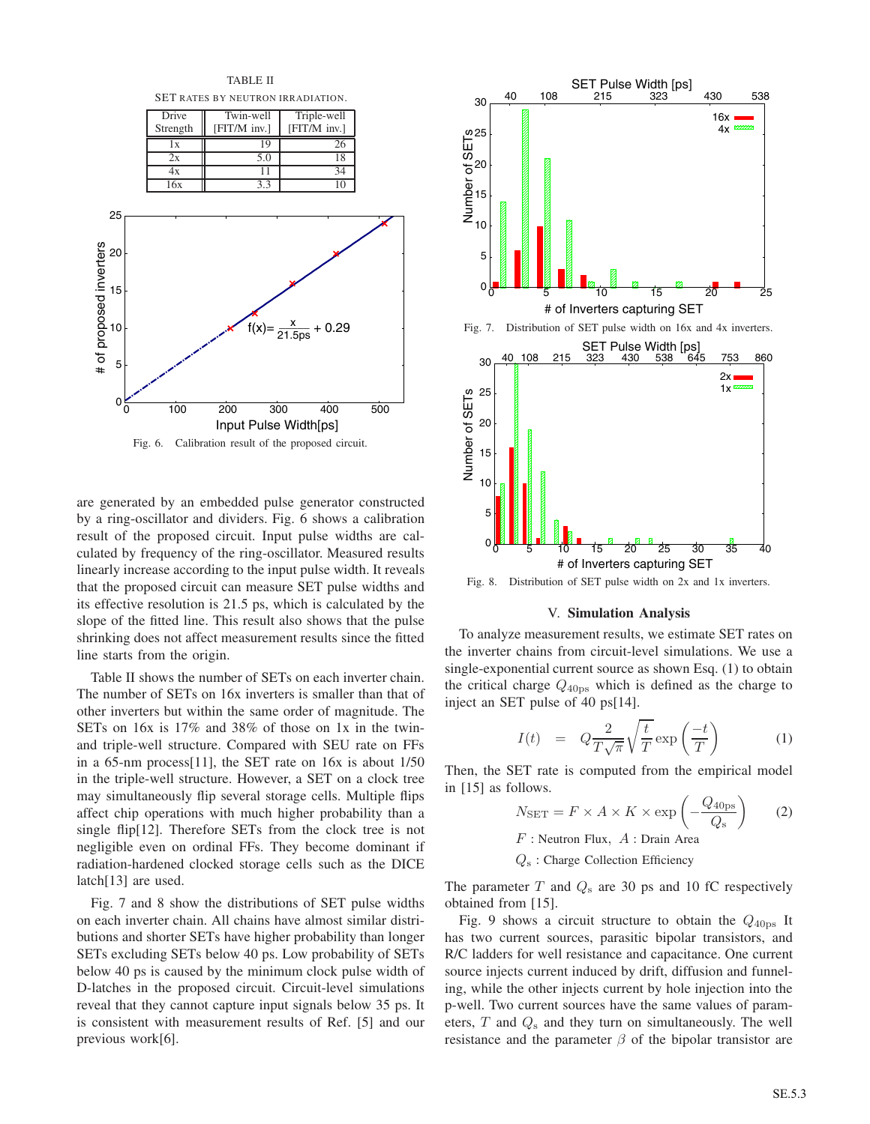

are generated by an embedded pulse generator constructed by a ring-oscillator and dividers. Fig. 6 shows a calibration result of the proposed circuit. Input pulse widths are calculated by frequency of the ring-oscillator. Measured results linearly increase according to the input pulse width. It reveals that the proposed circuit can measure SET pulse widths and its effective resolution is 21.5 ps, which is calculated by the slope of the fitted line. This result also shows that the pulse shrinking does not affect measurement results since the fitted line starts from the origin.

Table II shows the number of SETs on each inverter chain. The number of SETs on 16x inverters is smaller than that of other inverters but within the same order of magnitude. The SETs on 16x is 17% and 38% of those on 1x in the twinand triple-well structure. Compared with SEU rate on FFs in a 65-nm process[11], the SET rate on 16x is about 1/50 in the triple-well structure. However, a SET on a clock tree may simultaneously flip several storage cells. Multiple flips affect chip operations with much higher probability than a single flip[12]. Therefore SETs from the clock tree is not negligible even on ordinal FFs. They become dominant if radiation-hardened clocked storage cells such as the DICE latch[13] are used.

Fig. 7 and 8 show the distributions of SET pulse widths on each inverter chain. All chains have almost similar distributions and shorter SETs have higher probability than longer SETs excluding SETs below 40 ps. Low probability of SETs below 40 ps is caused by the minimum clock pulse width of D-latches in the proposed circuit. Circuit-level simulations reveal that they cannot capture input signals below 35 ps. It is consistent with measurement results of Ref. [5] and our previous work[6].



Fig. 8. Distribution of SET pulse width on 2x and 1x inverters.

#### V. **Simulation Analysis**

To analyze measurement results, we estimate SET rates on the inverter chains from circuit-level simulations. We use a single-exponential current source as shown Esq. (1) to obtain the critical charge  $Q_{40\text{ps}}$  which is defined as the charge to inject an SET pulse of 40 ps[14].

$$
I(t) = Q \frac{2}{T\sqrt{\pi}} \sqrt{\frac{t}{T}} \exp\left(\frac{-t}{T}\right)
$$
 (1)

Then, the SET rate is computed from the empirical model in [15] as follows.

$$
N_{\text{SET}} = F \times A \times K \times \exp\left(-\frac{Q_{40\text{ps}}}{Q_{\text{s}}}\right) \tag{2}
$$

 $F$ : Neutron Flux,  $A$ : Drain Area

 $Q<sub>s</sub>$ : Charge Collection Efficiency

The parameter  $T$  and  $Q_s$  are 30 ps and 10 fC respectively obtained from [15].

Fig. 9 shows a circuit structure to obtain the  $Q_{40\text{ps}}$  It has two current sources, parasitic bipolar transistors, and R/C ladders for well resistance and capacitance. One current source injects current induced by drift, diffusion and funneling, while the other injects current by hole injection into the p-well. Two current sources have the same values of parameters,  $T$  and  $Q_s$  and they turn on simultaneously. The well resistance and the parameter  $\beta$  of the bipolar transistor are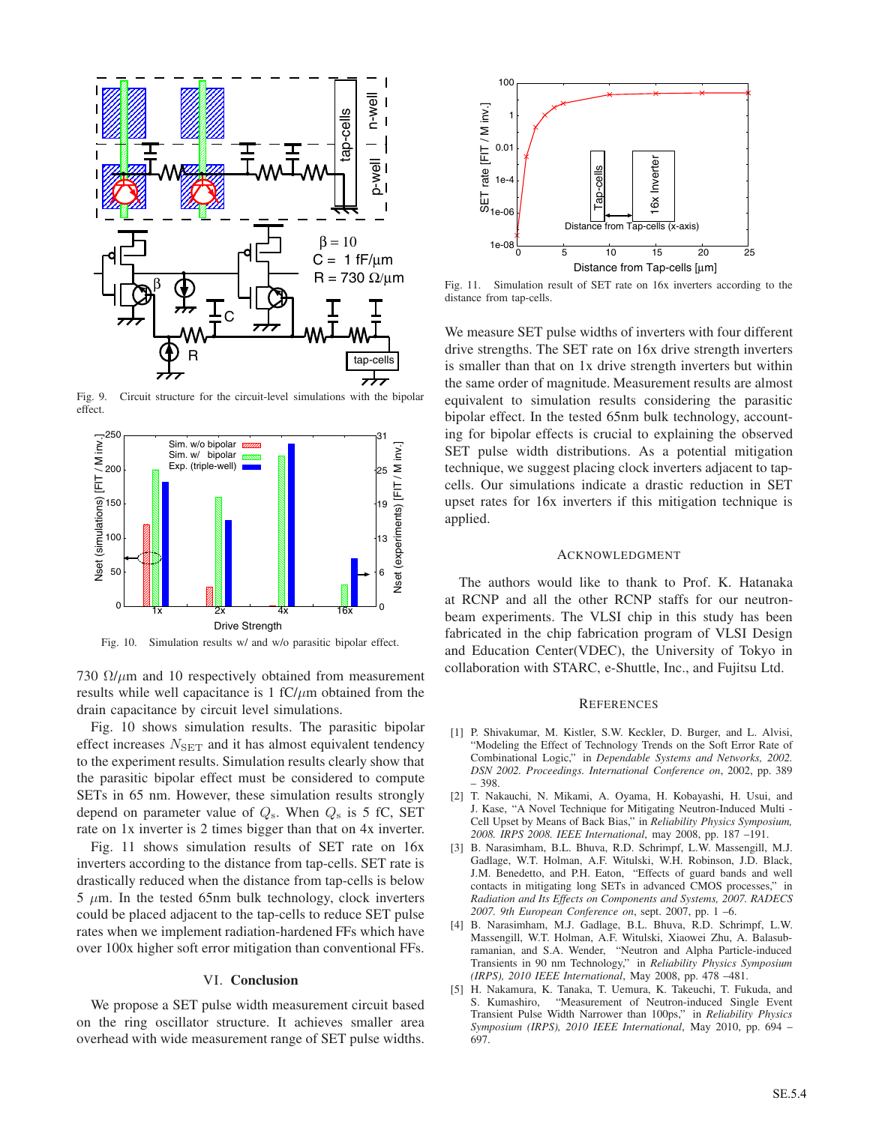

Fig. 9. Circuit structure for the circuit-level simulations with the bipolar effect.



730  $\Omega/\mu$ m and 10 respectively obtained from measurement results while well capacitance is 1  $fC/\mu m$  obtained from the drain capacitance by circuit level simulations.

Fig. 10 shows simulation results. The parasitic bipolar effect increases  $N_{\text{SET}}$  and it has almost equivalent tendency to the experiment results. Simulation results clearly show that the parasitic bipolar effect must be considered to compute SETs in 65 nm. However, these simulation results strongly depend on parameter value of  $Q_s$ . When  $Q_s$  is 5 fC, SET rate on 1x inverter is 2 times bigger than that on 4x inverter.

Fig. 11 shows simulation results of SET rate on 16x inverters according to the distance from tap-cells. SET rate is drastically reduced when the distance from tap-cells is below  $5 \mu$ m. In the tested 65nm bulk technology, clock inverters could be placed adjacent to the tap-cells to reduce SET pulse rates when we implement radiation-hardened FFs which have over 100x higher soft error mitigation than conventional FFs.

#### VI. **Conclusion**

We propose a SET pulse width measurement circuit based on the ring oscillator structure. It achieves smaller area overhead with wide measurement range of SET pulse widths.



Fig. 11. Simulation result of SET rate on 16x inverters according to the distance from tap-cells.

We measure SET pulse widths of inverters with four different drive strengths. The SET rate on 16x drive strength inverters is smaller than that on 1x drive strength inverters but within the same order of magnitude. Measurement results are almost equivalent to simulation results considering the parasitic bipolar effect. In the tested 65nm bulk technology, accounting for bipolar effects is crucial to explaining the observed SET pulse width distributions. As a potential mitigation technique, we suggest placing clock inverters adjacent to tapcells. Our simulations indicate a drastic reduction in SET upset rates for 16x inverters if this mitigation technique is applied.

#### ACKNOWLEDGMENT

The authors would like to thank to Prof. K. Hatanaka at RCNP and all the other RCNP staffs for our neutronbeam experiments. The VLSI chip in this study has been fabricated in the chip fabrication program of VLSI Design and Education Center(VDEC), the University of Tokyo in collaboration with STARC, e-Shuttle, Inc., and Fujitsu Ltd.

### **REFERENCES**

- [1] P. Shivakumar, M. Kistler, S.W. Keckler, D. Burger, and L. Alvisi, "Modeling the Effect of Technology Trends on the Soft Error Rate of Combinational Logic," in *Dependable Systems and Networks, 2002. DSN 2002. Proceedings. International Conference on*, 2002, pp. 389 – 398.
- [2] T. Nakauchi, N. Mikami, A. Oyama, H. Kobayashi, H. Usui, and J. Kase, "A Novel Technique for Mitigating Neutron-Induced Multi - Cell Upset by Means of Back Bias," in *Reliability Physics Symposium, 2008. IRPS 2008. IEEE International*, may 2008, pp. 187 –191.
- [3] B. Narasimham, B.L. Bhuva, R.D. Schrimpf, L.W. Massengill, M.J. Gadlage, W.T. Holman, A.F. Witulski, W.H. Robinson, J.D. Black, J.M. Benedetto, and P.H. Eaton, "Effects of guard bands and well contacts in mitigating long SETs in advanced CMOS processes," in *Radiation and Its Effects on Components and Systems, 2007. RADECS 2007. 9th European Conference on*, sept. 2007, pp. 1 –6.
- [4] B. Narasimham, M.J. Gadlage, B.L. Bhuva, R.D. Schrimpf, L.W. Massengill, W.T. Holman, A.F. Witulski, Xiaowei Zhu, A. Balasubramanian, and S.A. Wender, "Neutron and Alpha Particle-induced Transients in 90 nm Technology," in *Reliability Physics Symposium (IRPS), 2010 IEEE International*, May 2008, pp. 478 –481.
- [5] H. Nakamura, K. Tanaka, T. Uemura, K. Takeuchi, T. Fukuda, and S. Kumashiro, "Measurement of Neutron-induced Single Event Transient Pulse Width Narrower than 100ps," in *Reliability Physics Symposium (IRPS), 2010 IEEE International*, May 2010, pp. 694 – 697.